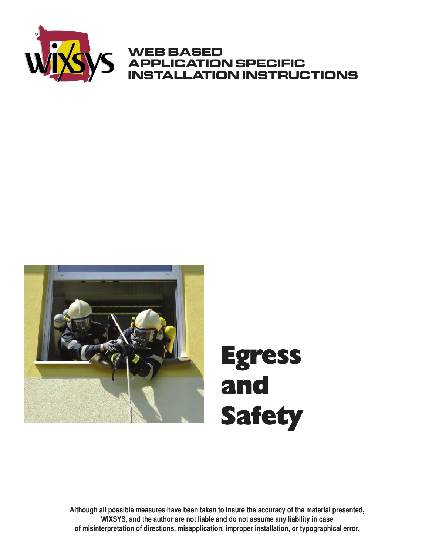

#### **WEB BASED APPLICATION SPECIFIC INSTALLATION INSTRUCTIONS**



**Although all possible measures have been taken to insure the accuracy of the material presented, WIXSYS, and the author are not liable and do not assume any liability in case of misinterpretation of directions, misapplication, improper installation, or typographical error.**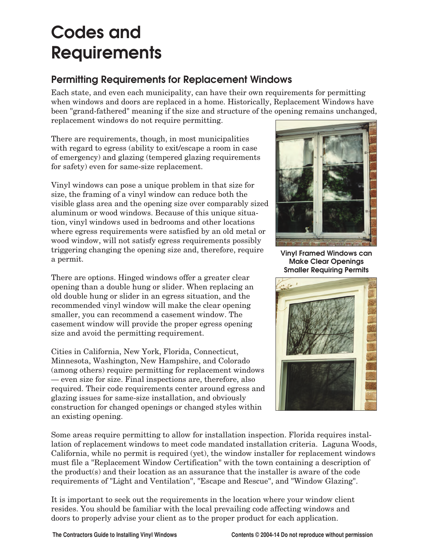# **Codes and Requirements**

#### **Permitting Requirements for Replacement Windows**

Each state, and even each municipality, can have their own requirements for permitting when windows and doors are replaced in a home. Historically, Replacement Windows have been "grand-fathered" meaning if the size and structure of the opening remains unchanged, replacement windows do not require permitting.

There are requirements, though, in most municipalities with regard to egress (ability to exit/escape a room in case of emergency) and glazing (tempered glazing requirements for safety) even for same-size replacement.

Vinyl windows can pose a unique problem in that size for size, the framing of a vinyl window can reduce both the visible glass area and the opening size over comparably sized aluminum or wood windows. Because of this unique situation, vinyl windows used in bedrooms and other locations where egress requirements were satisfied by an old metal or wood window, will not satisfy egress requirements possibly triggering changing the opening size and, therefore, require a permit.

There are options. Hinged windows offer a greater clear opening than a double hung or slider. When replacing an old double hung or slider in an egress situation, and the recommended vinyl window will make the clear opening smaller, you can recommend a casement window. The casement window will provide the proper egress opening size and avoid the permitting requirement.

Cities in California, New York, Florida, Connecticut, Minnesota, Washington, New Hampshire, and Colorado (among others) require permitting for replacement windows — even size for size. Final inspections are, therefore, also required. Their code requirements center around egress and glazing issues for same-size installation, and obviously construction for changed openings or changed styles within an existing opening.



**Vinyl Framed Windows can Make Clear Openings Smaller Requiring Permits**



Some areas require permitting to allow for installation inspection. Florida requires installation of replacement windows to meet code mandated installation criteria. Laguna Woods, California, while no permit is required (yet), the window installer for replacement windows must file a "Replacement Window Certification" with the town containing a description of the product(s) and their location as an assurance that the installer is aware of the code requirements of "Light and Ventilation", "Escape and Rescue", and "Window Glazing".

It is important to seek out the requirements in the location where your window client resides. You should be familiar with the local prevailing code affecting windows and doors to properly advise your client as to the proper product for each application.